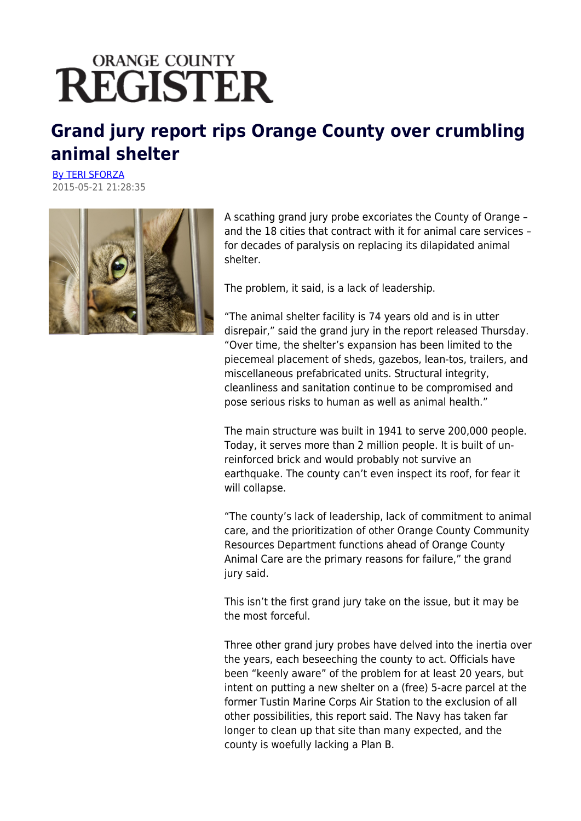## **ORANGE COUNTY REGISTER**

## **Grand jury report rips Orange County over crumbling animal shelter**

[By TERI SFORZA](mailto:tsforza@ocregister.com) 2015-05-21 21:28:35



A scathing grand jury probe excoriates the County of Orange – and the 18 cities that contract with it for animal care services – for decades of paralysis on replacing its dilapidated animal shelter.

The problem, it said, is a lack of leadership.

"The animal shelter facility is 74 years old and is in utter disrepair," said the grand jury in the report released Thursday. "Over time, the shelter's expansion has been limited to the piecemeal placement of sheds, gazebos, lean-tos, trailers, and miscellaneous prefabricated units. Structural integrity, cleanliness and sanitation continue to be compromised and pose serious risks to human as well as animal health."

The main structure was built in 1941 to serve 200,000 people. Today, it serves more than 2 million people. It is built of unreinforced brick and would probably not survive an earthquake. The county can't even inspect its roof, for fear it will collapse.

"The county's lack of leadership, lack of commitment to animal care, and the prioritization of other Orange County Community Resources Department functions ahead of Orange County Animal Care are the primary reasons for failure," the grand jury said.

This isn't the first grand jury take on the issue, but it may be the most forceful.

Three other grand jury probes have delved into the inertia over the years, each beseeching the county to act. Officials have been "keenly aware" of the problem for at least 20 years, but intent on putting a new shelter on a (free) 5-acre parcel at the former Tustin Marine Corps Air Station to the exclusion of all other possibilities, this report said. The Navy has taken far longer to clean up that site than many expected, and the county is woefully lacking a Plan B.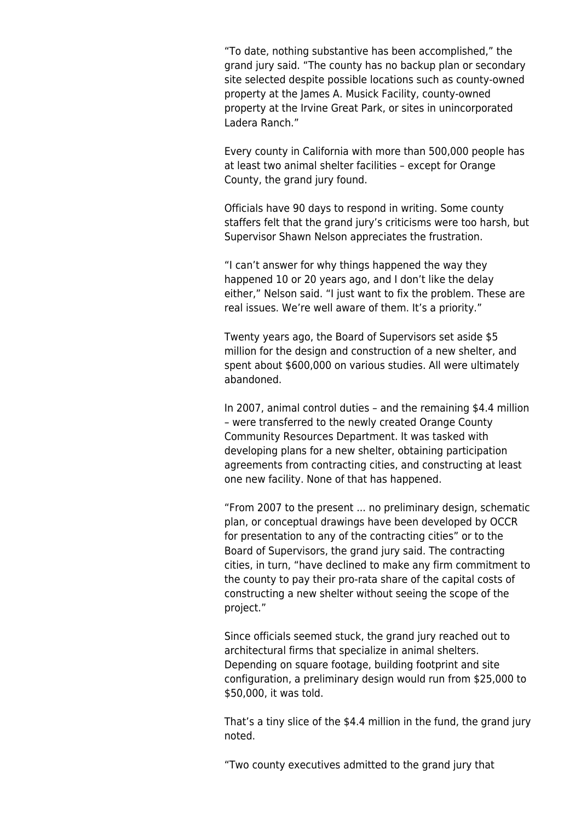"To date, nothing substantive has been accomplished," the grand jury said. "The county has no backup plan or secondary site selected despite possible locations such as county-owned property at the James A. Musick Facility, county-owned property at the Irvine Great Park, or sites in unincorporated Ladera Ranch."

Every county in California with more than 500,000 people has at least two animal shelter facilities – except for Orange County, the grand jury found.

Officials have 90 days to respond in writing. Some county staffers felt that the grand jury's criticisms were too harsh, but Supervisor Shawn Nelson appreciates the frustration.

"I can't answer for why things happened the way they happened 10 or 20 years ago, and I don't like the delay either," Nelson said. "I just want to fix the problem. These are real issues. We're well aware of them. It's a priority."

Twenty years ago, the Board of Supervisors set aside \$5 million for the design and construction of a new shelter, and spent about \$600,000 on various studies. All were ultimately abandoned.

In 2007, animal control duties – and the remaining \$4.4 million – were transferred to the newly created Orange County Community Resources Department. It was tasked with developing plans for a new shelter, obtaining participation agreements from contracting cities, and constructing at least one new facility. None of that has happened.

"From 2007 to the present ... no preliminary design, schematic plan, or conceptual drawings have been developed by OCCR for presentation to any of the contracting cities" or to the Board of Supervisors, the grand jury said. The contracting cities, in turn, "have declined to make any firm commitment to the county to pay their pro-rata share of the capital costs of constructing a new shelter without seeing the scope of the project."

Since officials seemed stuck, the grand jury reached out to architectural firms that specialize in animal shelters. Depending on square footage, building footprint and site configuration, a preliminary design would run from \$25,000 to \$50,000, it was told.

That's a tiny slice of the \$4.4 million in the fund, the grand jury noted.

"Two county executives admitted to the grand jury that